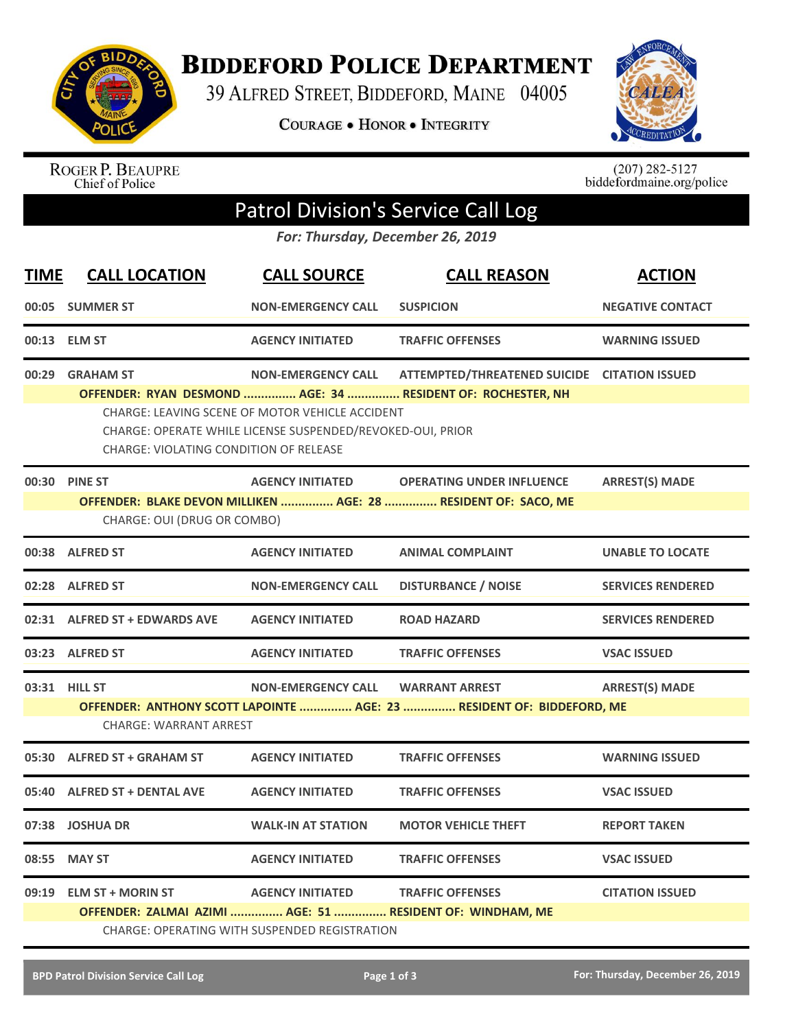

**BIDDEFORD POLICE DEPARTMENT** 

39 ALFRED STREET, BIDDEFORD, MAINE 04005

COURAGE . HONOR . INTEGRITY



ROGER P. BEAUPRE<br>Chief of Police

 $(207)$  282-5127<br>biddefordmaine.org/police

## Patrol Division's Service Call Log

*For: Thursday, December 26, 2019*

| <b>TIME</b> | <b>CALL LOCATION</b>                                                                                                                                                                                                                                                                                                           | <b>CALL SOURCE</b>                                                              | <b>CALL REASON</b>                                                                                 | <b>ACTION</b>            |  |  |
|-------------|--------------------------------------------------------------------------------------------------------------------------------------------------------------------------------------------------------------------------------------------------------------------------------------------------------------------------------|---------------------------------------------------------------------------------|----------------------------------------------------------------------------------------------------|--------------------------|--|--|
|             | 00:05 SUMMER ST                                                                                                                                                                                                                                                                                                                | <b>NON-EMERGENCY CALL</b>                                                       | <b>SUSPICION</b>                                                                                   | <b>NEGATIVE CONTACT</b>  |  |  |
|             | 00:13 ELM ST                                                                                                                                                                                                                                                                                                                   | <b>AGENCY INITIATED</b>                                                         | <b>TRAFFIC OFFENSES</b>                                                                            | <b>WARNING ISSUED</b>    |  |  |
| 00:29       | <b>GRAHAM ST</b><br>ATTEMPTED/THREATENED SUICIDE CITATION ISSUED<br><b>NON-EMERGENCY CALL</b><br>OFFENDER: RYAN DESMOND  AGE: 34  RESIDENT OF: ROCHESTER, NH<br>CHARGE: LEAVING SCENE OF MOTOR VEHICLE ACCIDENT<br>CHARGE: OPERATE WHILE LICENSE SUSPENDED/REVOKED-OUI, PRIOR<br><b>CHARGE: VIOLATING CONDITION OF RELEASE</b> |                                                                                 |                                                                                                    |                          |  |  |
|             | 00:30 PINE ST<br>CHARGE: OUI (DRUG OR COMBO)                                                                                                                                                                                                                                                                                   | <b>AGENCY INITIATED</b>                                                         | <b>OPERATING UNDER INFLUENCE</b><br>OFFENDER: BLAKE DEVON MILLIKEN  AGE: 28  RESIDENT OF: SACO, ME | <b>ARREST(S) MADE</b>    |  |  |
|             | 00:38 ALFRED ST                                                                                                                                                                                                                                                                                                                | <b>AGENCY INITIATED</b>                                                         | <b>ANIMAL COMPLAINT</b>                                                                            | <b>UNABLE TO LOCATE</b>  |  |  |
|             | 02:28 ALFRED ST                                                                                                                                                                                                                                                                                                                | <b>NON-EMERGENCY CALL</b>                                                       | <b>DISTURBANCE / NOISE</b>                                                                         | <b>SERVICES RENDERED</b> |  |  |
|             | 02:31 ALFRED ST + EDWARDS AVE                                                                                                                                                                                                                                                                                                  | <b>AGENCY INITIATED</b>                                                         | <b>ROAD HAZARD</b>                                                                                 | <b>SERVICES RENDERED</b> |  |  |
|             | 03:23 ALFRED ST                                                                                                                                                                                                                                                                                                                | <b>AGENCY INITIATED</b>                                                         | <b>TRAFFIC OFFENSES</b>                                                                            | <b>VSAC ISSUED</b>       |  |  |
|             | 03:31 HILL ST<br><b>CHARGE: WARRANT ARREST</b>                                                                                                                                                                                                                                                                                 | <b>NON-EMERGENCY CALL</b>                                                       | <b>WARRANT ARREST</b><br>OFFENDER: ANTHONY SCOTT LAPOINTE  AGE: 23  RESIDENT OF: BIDDEFORD, ME     | <b>ARREST(S) MADE</b>    |  |  |
|             | 05:30 ALFRED ST + GRAHAM ST                                                                                                                                                                                                                                                                                                    | <b>AGENCY INITIATED</b>                                                         | <b>TRAFFIC OFFENSES</b>                                                                            | <b>WARNING ISSUED</b>    |  |  |
|             | 05:40 ALFRED ST + DENTAL AVE                                                                                                                                                                                                                                                                                                   | <b>AGENCY INITIATED</b>                                                         | <b>TRAFFIC OFFENSES</b>                                                                            | <b>VSAC ISSUED</b>       |  |  |
|             | 07:38 JOSHUA DR                                                                                                                                                                                                                                                                                                                | <b>WALK-IN AT STATION</b>                                                       | <b>MOTOR VEHICLE THEFT</b>                                                                         | <b>REPORT TAKEN</b>      |  |  |
| 08:55       | <b>MAY ST</b>                                                                                                                                                                                                                                                                                                                  | <b>AGENCY INITIATED</b>                                                         | <b>TRAFFIC OFFENSES</b>                                                                            | <b>VSAC ISSUED</b>       |  |  |
| 09:19       | <b>ELM ST + MORIN ST</b>                                                                                                                                                                                                                                                                                                       | <b>AGENCY INITIATED</b><br><b>CHARGE: OPERATING WITH SUSPENDED REGISTRATION</b> | <b>TRAFFIC OFFENSES</b><br>OFFENDER: ZALMAI AZIMI  AGE: 51  RESIDENT OF: WINDHAM, ME               | <b>CITATION ISSUED</b>   |  |  |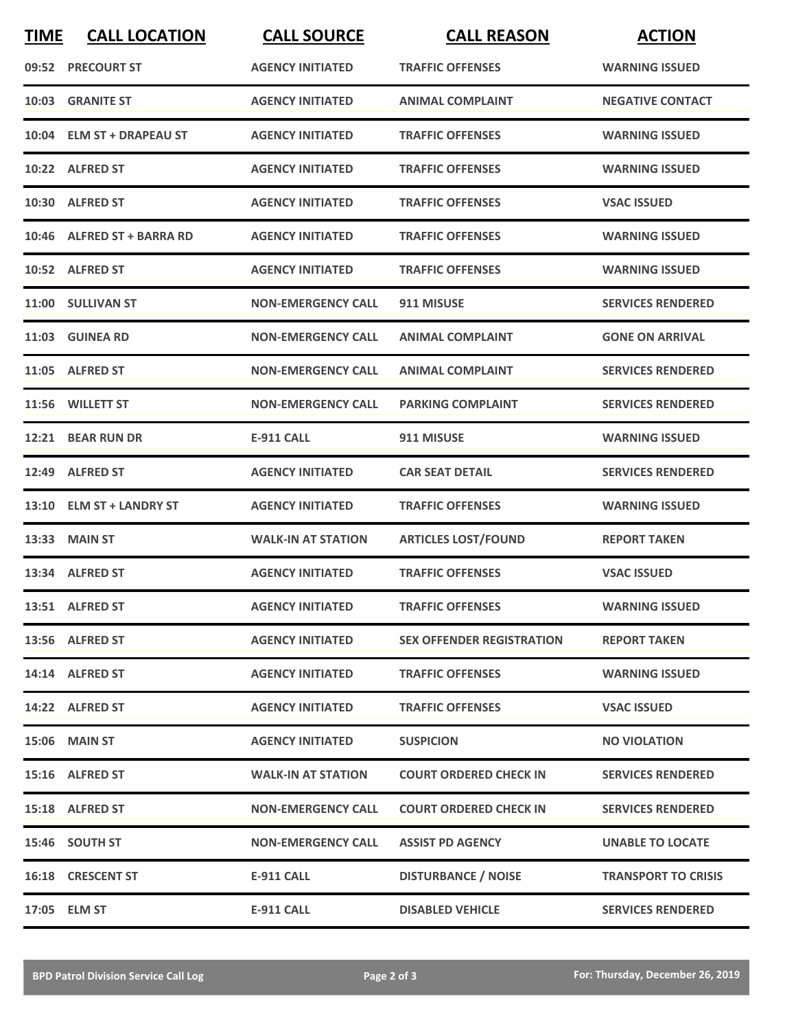| <b>TIME</b> | <b>CALL LOCATION</b>       | <b>CALL SOURCE</b>        | <b>CALL REASON</b>               | <b>ACTION</b>              |
|-------------|----------------------------|---------------------------|----------------------------------|----------------------------|
|             | 09:52 PRECOURT ST          | <b>AGENCY INITIATED</b>   | <b>TRAFFIC OFFENSES</b>          | <b>WARNING ISSUED</b>      |
|             | 10:03 GRANITE ST           | <b>AGENCY INITIATED</b>   | <b>ANIMAL COMPLAINT</b>          | <b>NEGATIVE CONTACT</b>    |
|             | 10:04 ELM ST + DRAPEAU ST  | <b>AGENCY INITIATED</b>   | <b>TRAFFIC OFFENSES</b>          | <b>WARNING ISSUED</b>      |
|             | 10:22 ALFRED ST            | <b>AGENCY INITIATED</b>   | <b>TRAFFIC OFFENSES</b>          | <b>WARNING ISSUED</b>      |
|             | 10:30 ALFRED ST            | <b>AGENCY INITIATED</b>   | <b>TRAFFIC OFFENSES</b>          | <b>VSAC ISSUED</b>         |
|             | 10:46 ALFRED ST + BARRA RD | <b>AGENCY INITIATED</b>   | <b>TRAFFIC OFFENSES</b>          | <b>WARNING ISSUED</b>      |
|             | 10:52 ALFRED ST            | <b>AGENCY INITIATED</b>   | <b>TRAFFIC OFFENSES</b>          | <b>WARNING ISSUED</b>      |
|             | 11:00 SULLIVAN ST          | <b>NON-EMERGENCY CALL</b> | 911 MISUSE                       | <b>SERVICES RENDERED</b>   |
|             | 11:03 GUINEA RD            | <b>NON-EMERGENCY CALL</b> | <b>ANIMAL COMPLAINT</b>          | <b>GONE ON ARRIVAL</b>     |
|             | 11:05 ALFRED ST            | <b>NON-EMERGENCY CALL</b> | <b>ANIMAL COMPLAINT</b>          | <b>SERVICES RENDERED</b>   |
|             | 11:56 WILLETT ST           | <b>NON-EMERGENCY CALL</b> | <b>PARKING COMPLAINT</b>         | <b>SERVICES RENDERED</b>   |
|             | 12:21 BEAR RUN DR          | <b>E-911 CALL</b>         | 911 MISUSE                       | <b>WARNING ISSUED</b>      |
|             | 12:49 ALFRED ST            | <b>AGENCY INITIATED</b>   | <b>CAR SEAT DETAIL</b>           | <b>SERVICES RENDERED</b>   |
|             | 13:10 ELM ST + LANDRY ST   | <b>AGENCY INITIATED</b>   | <b>TRAFFIC OFFENSES</b>          | <b>WARNING ISSUED</b>      |
|             | 13:33 MAIN ST              | <b>WALK-IN AT STATION</b> | <b>ARTICLES LOST/FOUND</b>       | <b>REPORT TAKEN</b>        |
|             | 13:34 ALFRED ST            | <b>AGENCY INITIATED</b>   | <b>TRAFFIC OFFENSES</b>          | <b>VSAC ISSUED</b>         |
|             | 13:51 ALFRED ST            | <b>AGENCY INITIATED</b>   | <b>TRAFFIC OFFENSES</b>          | <b>WARNING ISSUED</b>      |
|             | 13:56 ALFRED ST            | <b>AGENCY INITIATED</b>   | <b>SEX OFFENDER REGISTRATION</b> | <b>REPORT TAKEN</b>        |
|             | 14:14 ALFRED ST            | <b>AGENCY INITIATED</b>   | <b>TRAFFIC OFFENSES</b>          | <b>WARNING ISSUED</b>      |
|             | 14:22 ALFRED ST            | <b>AGENCY INITIATED</b>   | <b>TRAFFIC OFFENSES</b>          | <b>VSAC ISSUED</b>         |
|             | <b>15:06 MAIN ST</b>       | <b>AGENCY INITIATED</b>   | <b>SUSPICION</b>                 | <b>NO VIOLATION</b>        |
|             | 15:16 ALFRED ST            | <b>WALK-IN AT STATION</b> | <b>COURT ORDERED CHECK IN</b>    | <b>SERVICES RENDERED</b>   |
|             | 15:18 ALFRED ST            | <b>NON-EMERGENCY CALL</b> | <b>COURT ORDERED CHECK IN</b>    | <b>SERVICES RENDERED</b>   |
|             | 15:46 SOUTH ST             | <b>NON-EMERGENCY CALL</b> | <b>ASSIST PD AGENCY</b>          | <b>UNABLE TO LOCATE</b>    |
|             | 16:18 CRESCENT ST          | E-911 CALL                | <b>DISTURBANCE / NOISE</b>       | <b>TRANSPORT TO CRISIS</b> |
|             | 17:05 ELM ST               | <b>E-911 CALL</b>         | <b>DISABLED VEHICLE</b>          | <b>SERVICES RENDERED</b>   |